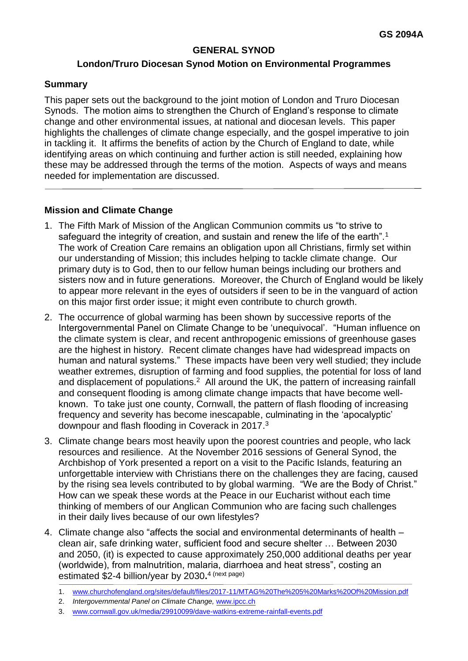#### **GENERAL SYNOD**

#### **London/Truro Diocesan Synod Motion on Environmental Programmes**

#### **Summary**

This paper sets out the background to the joint motion of London and Truro Diocesan Synods. The motion aims to strengthen the Church of England's response to climate change and other environmental issues, at national and diocesan levels. This paper highlights the challenges of climate change especially, and the gospel imperative to join in tackling it. It affirms the benefits of action by the Church of England to date, while identifying areas on which continuing and further action is still needed, explaining how these may be addressed through the terms of the motion. Aspects of ways and means needed for implementation are discussed.

#### **Mission and Climate Change**

- 1. The Fifth Mark of Mission of the Anglican Communion commits us "to strive to safeguard the integrity of creation, and sustain and renew the life of the earth".<sup>1</sup> The work of Creation Care remains an obligation upon all Christians, firmly set within our understanding of Mission; this includes helping to tackle climate change. Our primary duty is to God, then to our fellow human beings including our brothers and sisters now and in future generations. Moreover, the Church of England would be likely to appear more relevant in the eyes of outsiders if seen to be in the vanguard of action on this major first order issue; it might even contribute to church growth.
- 2. The occurrence of global warming has been shown by successive reports of the Intergovernmental Panel on Climate Change to be 'unequivocal'. "Human influence on the climate system is clear, and recent anthropogenic emissions of greenhouse gases are the highest in history. Recent climate changes have had widespread impacts on human and natural systems." These impacts have been very well studied; they include weather extremes, disruption of farming and food supplies, the potential for loss of land and displacement of populations.<sup>2</sup> All around the UK, the pattern of increasing rainfall and consequent flooding is among climate change impacts that have become wellknown. To take just one county, Cornwall, the pattern of flash flooding of increasing frequency and severity has become inescapable, culminating in the 'apocalyptic' downpour and flash flooding in Coverack in 2017.<sup>3</sup>
- 3. Climate change bears most heavily upon the poorest countries and people, who lack resources and resilience. At the November 2016 sessions of General Synod, the Archbishop of York presented a report on a visit to the Pacific Islands, featuring an unforgettable interview with Christians there on the challenges they are facing, caused by the rising sea levels contributed to by global warming. "We are the Body of Christ." How can we speak these words at the Peace in our Eucharist without each time thinking of members of our Anglican Communion who are facing such challenges in their daily lives because of our own lifestyles?
- 4. Climate change also "affects the social and environmental determinants of health clean air, safe drinking water, sufficient food and secure shelter … Between 2030 and 2050, (it) is expected to cause approximately 250,000 additional deaths per year (worldwide), from malnutrition, malaria, diarrhoea and heat stress", costing an estimated \$2-4 billion/year by 2030**.** 4 (next page)
	- 1. [www.churchofengland.org/sites/default/files/2017-11/MTAG%20The%205%20Marks%20Of%20Mission.pdf](http://www.churchofengland.org/sites/default/files/2017-11/MTAG%20The%205%20Marks%20Of%20Mission.pdf)
	- 2. *Intergovernmental Panel on Climate Change,* [www.ipcc.ch](http://www.ipcc.ch/)
	- 3. [www.cornwall.gov.uk/media/29910099/dave-watkins-extreme-rainfall-events.pdf](http://www.cornwall.gov.uk/media/29910099/dave-watkins-extreme-rainfall-events.pdf)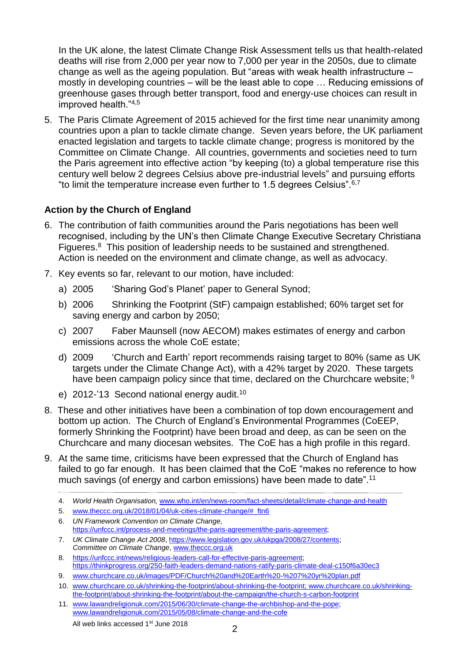In the UK alone, the latest Climate Change Risk Assessment tells us that health-related deaths will rise from 2,000 per year now to 7,000 per year in the 2050s, due to climate change as well as the ageing population. But "areas with weak health infrastructure – mostly in developing countries – will be the least able to cope … Reducing emissions of greenhouse gases through better transport, food and energy-use choices can result in improved health."4,5

5. The Paris Climate Agreement of 2015 achieved for the first time near unanimity among countries upon a plan to tackle climate change. Seven years before, the UK parliament enacted legislation and targets to tackle climate change; progress is monitored by the Committee on Climate Change. All countries, governments and societies need to turn the Paris agreement into effective action "by keeping (to) a global temperature rise this century well below 2 degrees Celsius above pre-industrial levels" and pursuing efforts "to limit the temperature increase even further to 1.5 degrees Celsius".  $6,7$ 

# **Action by the Church of England**

- 6. The contribution of faith communities around the Paris negotiations has been well recognised, including by the UN's then Climate Change Executive Secretary Christiana Figueres.<sup>8</sup> This position of leadership needs to be sustained and strengthened. Action is needed on the environment and climate change, as well as advocacy.
- 7. Key events so far, relevant to our motion, have included:
	- a) 2005 'Sharing God's Planet' paper to General Synod;
	- b) 2006 Shrinking the Footprint (StF) campaign established; 60% target set for saving energy and carbon by 2050;
	- c) 2007 Faber Maunsell (now AECOM) makes estimates of energy and carbon emissions across the whole CoE estate;
	- d) 2009 'Church and Earth' report recommends raising target to 80% (same as UK targets under the Climate Change Act), with a 42% target by 2020. These targets have been campaign policy since that time, declared on the Churchcare website; <sup>9</sup>
	- e) 2012-'13 Second national energy audit.<sup>10</sup>
- 8. These and other initiatives have been a combination of top down encouragement and bottom up action. The Church of England's Environmental Programmes (CoEEP, formerly Shrinking the Footprint) have been broad and deep, as can be seen on the Churchcare and many diocesan websites. The CoE has a high profile in this regard.
- 9. At the same time, criticisms have been expressed that the Church of England has failed to go far enough. It has been claimed that the CoE "makes no reference to how much savings (of energy and carbon emissions) have been made to date".<sup>11</sup>
	- 4. *World Health Organisation,* [www.who.int/en/news-room/fact-sheets/detail/climate-change-and-health](http://www.who.int/en/news-room/fact-sheets/detail/climate-change-and-health)
	- 5. [www.theccc.org.uk/2018/01/04/uk-cities-climate-change/#\\_ftn6](http://www.theccc.org.uk/2018/01/04/uk-cities-climate-change/#_ftn6)
	- 6. *UN Framework Convention on Climate Change,*  [https://unfccc.int/process-and-meetings/the-paris-agreement/the-paris-agreement;](https://unfccc.int/process-and-meetings/the-paris-agreement/the-paris-agreement)
	- 7. *UK Climate Change Act 2008*, [https://www.legislation.gov.uk/ukpga/2008/27/contents;](https://www.legislation.gov.uk/ukpga/2008/27/contents) *Committee on Climate Change*, [www.theccc.org.uk](http://www.theccc.org.uk/)
	- 8. [https://unfccc.int/news/religious-leaders-call-for-effective-paris-agreement;](https://unfccc.int/news/religious-leaders-call-for-effective-paris-agreement) <https://thinkprogress.org/250-faith-leaders-demand-nations-ratify-paris-climate-deal-c150f6a30ec3>
	- 9. [www.churchcare.co.uk/images/PDF/Church%20and%20Earth%20-%207%20yr%20plan.pdf](http://www.churchcare.co.uk/images/PDF/Church%20and%20Earth%20-%207%20yr%20plan.pdf)
	- 10. [www.churchcare.co.uk/shrinking-the-footprint/about-shrinking-the-footprint;](http://www.churchcare.co.uk/shrinking-the-footprint/about-shrinking-the-footprint) [www.churchcare.co.uk/shrinking](http://www.churchcare.co.uk/shrinking-the-footprint/about-shrinking-the-footprint/about-the-campaign/the-church-s-carbon-footprint)[the-footprint/about-shrinking-the-footprint/about-the-campaign/the-church-s-carbon-footprint](http://www.churchcare.co.uk/shrinking-the-footprint/about-shrinking-the-footprint/about-the-campaign/the-church-s-carbon-footprint)
	- 11. [www.lawandreligionuk.com/2015/06/30/climate-change-the-archbishop-and-the-pope;](http://www.lawandreligionuk.com/2015/06/30/climate-change-the-archbishop-and-the-pope) [www.lawandreligionuk.com/2015/05/08/climate-change-and-the-cofe](http://www.lawandreligionuk.com/2015/05/08/climate-change-and-the-cofe)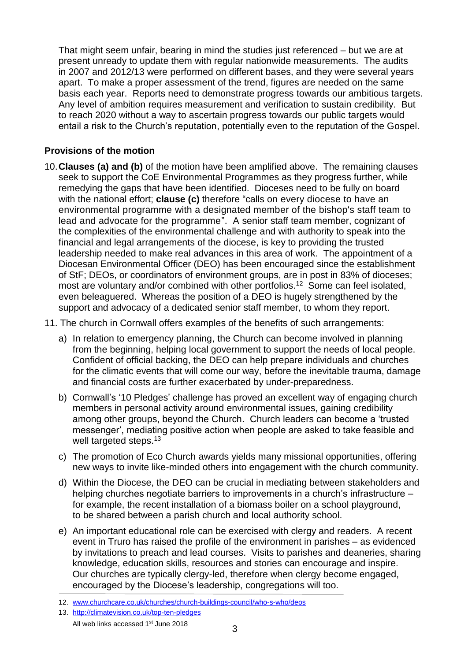That might seem unfair, bearing in mind the studies just referenced – but we are at present unready to update them with regular nationwide measurements. The audits in 2007 and 2012/13 were performed on different bases, and they were several years apart. To make a proper assessment of the trend, figures are needed on the same basis each year. Reports need to demonstrate progress towards our ambitious targets. Any level of ambition requires measurement and verification to sustain credibility. But to reach 2020 without a way to ascertain progress towards our public targets would entail a risk to the Church's reputation, potentially even to the reputation of the Gospel.

### **Provisions of the motion**

- 10.**Clauses (a) and (b)** of the motion have been amplified above. The remaining clauses seek to support the CoE Environmental Programmes as they progress further, while remedying the gaps that have been identified. Dioceses need to be fully on board with the national effort; **clause (c)** therefore "calls on every diocese to have an environmental programme with a designated member of the bishop's staff team to lead and advocate for the programme". A senior staff team member, cognizant of the complexities of the environmental challenge and with authority to speak into the financial and legal arrangements of the diocese, is key to providing the trusted leadership needed to make real advances in this area of work. The appointment of a Diocesan Environmental Officer (DEO) has been encouraged since the establishment of StF; DEOs, or coordinators of environment groups, are in post in 83% of dioceses; most are voluntary and/or combined with other portfolios.<sup>12</sup> Some can feel isolated, even beleaguered. Whereas the position of a DEO is hugely strengthened by the support and advocacy of a dedicated senior staff member, to whom they report.
- 11. The church in Cornwall offers examples of the benefits of such arrangements:
	- a) In relation to emergency planning, the Church can become involved in planning from the beginning, helping local government to support the needs of local people. Confident of official backing, the DEO can help prepare individuals and churches for the climatic events that will come our way, before the inevitable trauma, damage and financial costs are further exacerbated by under-preparedness.
	- b) Cornwall's '10 Pledges' challenge has proved an excellent way of engaging church members in personal activity around environmental issues, gaining credibility among other groups, beyond the Church. Church leaders can become a 'trusted messenger', mediating positive action when people are asked to take feasible and well targeted steps.<sup>13</sup>
	- c) The promotion of Eco Church awards yields many missional opportunities, offering new ways to invite like-minded others into engagement with the church community.
	- d) Within the Diocese, the DEO can be crucial in mediating between stakeholders and helping churches negotiate barriers to improvements in a church's infrastructure – for example, the recent installation of a biomass boiler on a school playground, to be shared between a parish church and local authority school.
	- e) An important educational role can be exercised with clergy and readers. A recent event in Truro has raised the profile of the environment in parishes – as evidenced by invitations to preach and lead courses. Visits to parishes and deaneries, sharing knowledge, education skills, resources and stories can encourage and inspire. Our churches are typically clergy-led, therefore when clergy become engaged, encouraged by the Diocese's leadership, congregations will too.

13. <http://climatevision.co.uk/top-ten-pledges>

<sup>12.</sup> [www.churchcare.co.uk/churches/church-buildings-council/who-s-who/deos](http://www.churchcare.co.uk/churches/church-buildings-council/who-s-who/deos)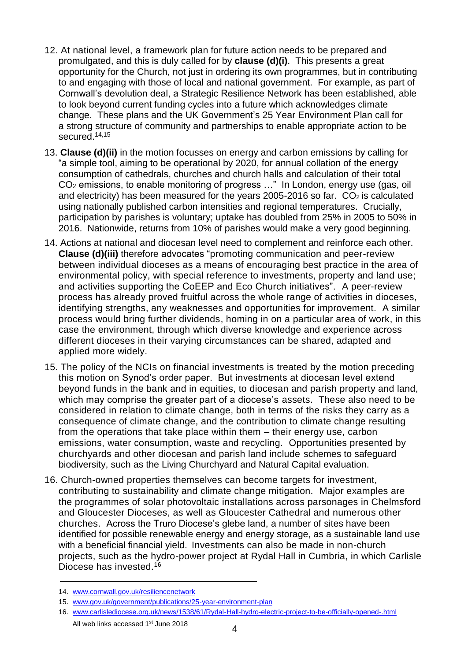- 12. At national level, a framework plan for future action needs to be prepared and promulgated, and this is duly called for by **clause (d)(i)**. This presents a great opportunity for the Church, not just in ordering its own programmes, but in contributing to and engaging with those of local and national government. For example, as part of Cornwall's devolution deal, a Strategic Resilience Network has been established, able to look beyond current funding cycles into a future which acknowledges climate change. These plans and the UK Government's 25 Year Environment Plan call for a strong structure of community and partnerships to enable appropriate action to be secured. 14,15
- 13. **Clause (d)(ii)** in the motion focusses on energy and carbon emissions by calling for "a simple tool, aiming to be operational by 2020, for annual collation of the energy consumption of cathedrals, churches and church halls and calculation of their total CO<sup>2</sup> emissions, to enable monitoring of progress …" In London, energy use (gas, oil and electricity) has been measured for the years  $2005-2016$  so far.  $CO<sub>2</sub>$  is calculated using nationally published carbon intensities and regional temperatures. Crucially, participation by parishes is voluntary; uptake has doubled from 25% in 2005 to 50% in 2016. Nationwide, returns from 10% of parishes would make a very good beginning.
- 14. Actions at national and diocesan level need to complement and reinforce each other. **Clause (d)(iii)** therefore advocates "promoting communication and peer-review between individual dioceses as a means of encouraging best practice in the area of environmental policy, with special reference to investments, property and land use; and activities supporting the CoEEP and Eco Church initiatives". A peer-review process has already proved fruitful across the whole range of activities in dioceses, identifying strengths, any weaknesses and opportunities for improvement. A similar process would bring further dividends, homing in on a particular area of work, in this case the environment, through which diverse knowledge and experience across different dioceses in their varying circumstances can be shared, adapted and applied more widely.
- 15. The policy of the NCIs on financial investments is treated by the motion preceding this motion on Synod's order paper. But investments at diocesan level extend beyond funds in the bank and in equities, to diocesan and parish property and land, which may comprise the greater part of a diocese's assets. These also need to be considered in relation to climate change, both in terms of the risks they carry as a consequence of climate change, and the contribution to climate change resulting from the operations that take place within them – their energy use, carbon emissions, water consumption, waste and recycling. Opportunities presented by churchyards and other diocesan and parish land include schemes to safeguard biodiversity, such as the Living Churchyard and Natural Capital evaluation.
- 16. Church-owned properties themselves can become targets for investment, contributing to sustainability and climate change mitigation. Major examples are the programmes of solar photovoltaic installations across parsonages in Chelmsford and Gloucester Dioceses, as well as Gloucester Cathedral and numerous other churches. Across the Truro Diocese's glebe land, a number of sites have been identified for possible renewable energy and energy storage, as a sustainable land use with a beneficial financial yield. Investments can also be made in non-church projects, such as the hydro-power project at Rydal Hall in Cumbria, in which Carlisle Diocese has invested.<sup>16</sup>

<sup>14.</sup> [www.cornwall.gov.uk/resiliencenetwork](http://www.cornwall.gov.uk/resiliencenetwork)

<sup>15.</sup> [www.gov.uk/government/publications/25-year-environment-plan](http://www.gov.uk/government/publications/25-year-environment-plan)

All web links accessed 1<sup>st</sup> June 2018 16. [www.carlislediocese.org.uk/news/1538/61/Rydal-Hall-hydro-electric-project-to-be-officially-opened-.html](http://www.carlislediocese.org.uk/news/1538/61/Rydal-Hall-hydro-electric-project-to-be-officially-opened-.html)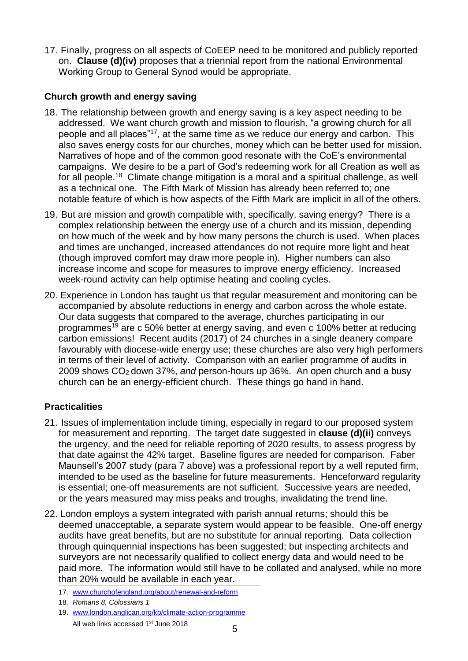17. Finally, progress on all aspects of CoEEP need to be monitored and publicly reported on. **Clause (d)(iv)** proposes that a triennial report from the national Environmental Working Group to General Synod would be appropriate.

# **Church growth and energy saving**

- 18. The relationship between growth and energy saving is a key aspect needing to be addressed. We want church growth and mission to flourish, "a growing church for all people and all places"<sup>17</sup>, at the same time as we reduce our energy and carbon. This also saves energy costs for our churches, money which can be better used for mission. Narratives of hope and of the common good resonate with the CoE's environmental campaigns. We desire to be a part of God's redeeming work for all Creation as well as for all people.<sup>18</sup> Climate change mitigation is a moral and a spiritual challenge, as well as a technical one. The Fifth Mark of Mission has already been referred to; one notable feature of which is how aspects of the Fifth Mark are implicit in all of the others.
- 19. But are mission and growth compatible with, specifically, saving energy? There is a complex relationship between the energy use of a church and its mission, depending on how much of the week and by how many persons the church is used. When places and times are unchanged, increased attendances do not require more light and heat (though improved comfort may draw more people in). Higher numbers can also increase income and scope for measures to improve energy efficiency. Increased week-round activity can help optimise heating and cooling cycles.
- 20. Experience in London has taught us that regular measurement and monitoring can be accompanied by absolute reductions in energy and carbon across the whole estate. Our data suggests that compared to the average, churches participating in our programmes<sup>19</sup> are c 50% better at energy saving, and even c 100% better at reducing carbon emissions! Recent audits (2017) of 24 churches in a single deanery compare favourably with diocese-wide energy use; these churches are also very high performers in terms of their level of activity. Comparison with an earlier programme of audits in 2009 shows CO2 down 37%, *and* person-hours up 36%. An open church and a busy church can be an energy-efficient church. These things go hand in hand.

# **Practicalities**

- 21. Issues of implementation include timing, especially in regard to our proposed system for measurement and reporting. The target date suggested in **clause (d)(ii)** conveys the urgency, and the need for reliable reporting of 2020 results, to assess progress by that date against the 42% target. Baseline figures are needed for comparison. Faber Maunsell's 2007 study (para 7 above) was a professional report by a well reputed firm, intended to be used as the baseline for future measurements. Henceforward regularity is essential; one-off measurements are not sufficient. Successive years are needed, or the years measured may miss peaks and troughs, invalidating the trend line.
- 22. London employs a system integrated with parish annual returns; should this be deemed unacceptable, a separate system would appear to be feasible. One-off energy audits have great benefits, but are no substitute for annual reporting. Data collection through quinquennial inspections has been suggested; but inspecting architects and surveyors are not necessarily qualified to collect energy data and would need to be paid more. The information would still have to be collated and analysed, while no more than 20% would be available in each year.

<sup>17.</sup> [www.churchofengland.org/about/renewal-and-reform](http://www.churchofengland.org/about/renewal-and-reform) 

<sup>18</sup>*. Romans 8, Colossians 1*

All web links accessed  $1<sup>st</sup>$  June 2018 19. [www.london.anglican.org/kb/climate-action-programme](http://www.london.anglican.org/kb/climate-action-programme)